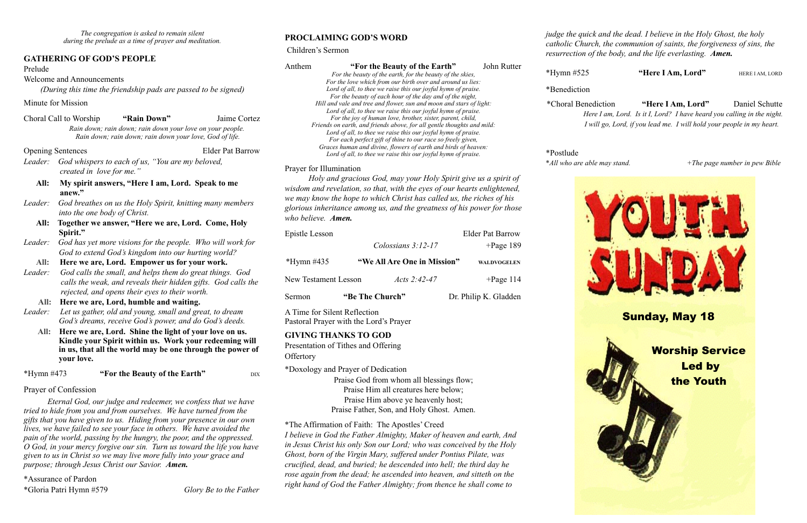#### **GATHERING OF GOD'S PEOPLE**

#### Prelude

Welcome and Announcements

*(During this time the friendship pads are passed to be signed)*

Minute for Mission

| Choral Call to Worship | "Rain Down"                                               | Jaime Cortez |
|------------------------|-----------------------------------------------------------|--------------|
|                        | Rain down; rain down; rain down your love on your people. |              |
|                        | Rain down; rain down; rain down your love, God of life.   |              |

Opening Sentences Elder Pat Barrow

*Leader: God whispers to each of us, "You are my beloved, created in love for me."*

- **All: My spirit answers, "Here I am, Lord. Speak to me anew."**
- *Leader: God breathes on us the Holy Spirit, knitting many members into the one body of Christ.*
	- **All: Together we answer, "Here we are, Lord. Come, Holy Spirit."**
- *Leader: God has yet more visions for the people. Who will work for God to extend God's kingdom into our hurting world?*

#### **All: Here we are, Lord. Empower us for your work.**

- *Leader: God calls the small, and helps them do great things. God calls the weak, and reveals their hidden gifts. God calls the rejected, and opens their eyes to their worth.*
	- **All: Here we are, Lord, humble and waiting.**
- *Leader: Let us gather, old and young, small and great, to dream God's dreams, receive God's power, and do God's deeds.*
	- **All: Here we are, Lord. Shine the light of your love on us. Kindle your Spirit within us. Work your redeeming will in us, that all the world may be one through the power of your love.**

\*Hymn #473 **"For the Beauty of the Earth"** DIX

#### Prayer of Confession

 *Eternal God, our judge and redeemer, we confess that we have tried to hide from you and from ourselves. We have turned from the gifts that you have given to us. Hiding from your presence in our own lives, we have failed to see your face in others. We have avoided the pain of the world, passing by the hungry, the poor, and the oppressed. O God, in your mercy forgive our sin. Turn us toward the life you have given to us in Christ so we may live more fully into your grace and purpose; through Jesus Christ our Savior. Amen.*

Presentation of Tithes and Offering **Offertory** 

\*Assurance of Pardon \*Gloria Patri Hymn #579 *Glory Be to the Father*

## **PROCLAIMING GOD'S WORD**

#### Children's Sermon

Anthem **"For the Beauty of the Earth"** John Rutter

*For the beauty of the earth, for the beauty of the skies, For the love which from our birth over and around us lies: Lord of all, to thee we raise this our joyful hymn of praise. For the beauty of each hour of the day and of the night, Hill and vale and tree and flower, sun and moon and stars of light: Lord of all, to thee we raise this our joyful hymn of praise. For the joy of human love, brother, sister, parent, child, Friends on earth, and friends above, for all gentle thoughts and mild: Lord of all, to thee we raise this our joyful hymn of praise. For each perfect gift of thine to our race so freely given, Graces human and divine, flowers of earth and birds of heaven: Lord of all, to thee we raise this our joyful hymn of praise.* 

#### Prayer for Illumination

*Holy and gracious God, may your Holy Spirit give us a spirit of wisdom and revelation, so that, with the eyes of our hearts enlightened, we may know the hope to which Christ has called us, the riches of his glorious inheritance among us, and the greatness of his power for those who believe. Amen.* 

| <b>Epistle Lesson</b>       |                 |                             |  | <b>Elder Pat Barrow</b> |
|-----------------------------|-----------------|-----------------------------|--|-------------------------|
|                             |                 | Colossians $3:12-17$        |  | $+$ Page 189            |
| *Hymn $\#435$               |                 | "We All Are One in Mission" |  | <b>WALDVOGELEN</b>      |
| <b>New Testament Lesson</b> |                 | Acts 2:42-47                |  | $+$ Page 114            |
| Sermon                      | "Be The Church" |                             |  | Dr. Philip K. Gladden   |

A Time for Silent Reflection Pastoral Prayer with the Lord's Prayer

#### **GIVING THANKS TO GOD**

\*Doxology and Prayer of Dedication

Praise God from whom all blessings flow; Praise Him all creatures here below; Praise Him above ye heavenly host; Praise Father, Son, and Holy Ghost. Amen.

\*The Affirmation of Faith: The Apostles' Creed

*I believe in God the Father Almighty, Maker of heaven and earth, And in Jesus Christ his only Son our Lord; who was conceived by the Holy Ghost, born of the Virgin Mary, suffered under Pontius Pilate, was crucified, dead, and buried; he descended into hell; the third day he rose again from the dead; he ascended into heaven, and sitteth on the right hand of God the Father Almighty; from thence he shall come to* 

*judge the quick and the dead. I believe in the Holy Ghost, the holy catholic Church, the communion of saints, the forgiveness of sins, the resurrection of the body, and the life everlasting. Amen.*

\*Hymn #525 **"Here I Am, Lord"** HERE IAM, LORD

\*Benediction

\*Choral Benediction **"Here I Am, Lord"** Daniel Schutte*Here I am, Lord. Is it I, Lord? I have heard you calling in the night. I will go, Lord, if you lead me. I will hold your people in my heart.*

\*Postlude \**All who are able may stand. +The page number in pew Bible*



 Led by the Youth